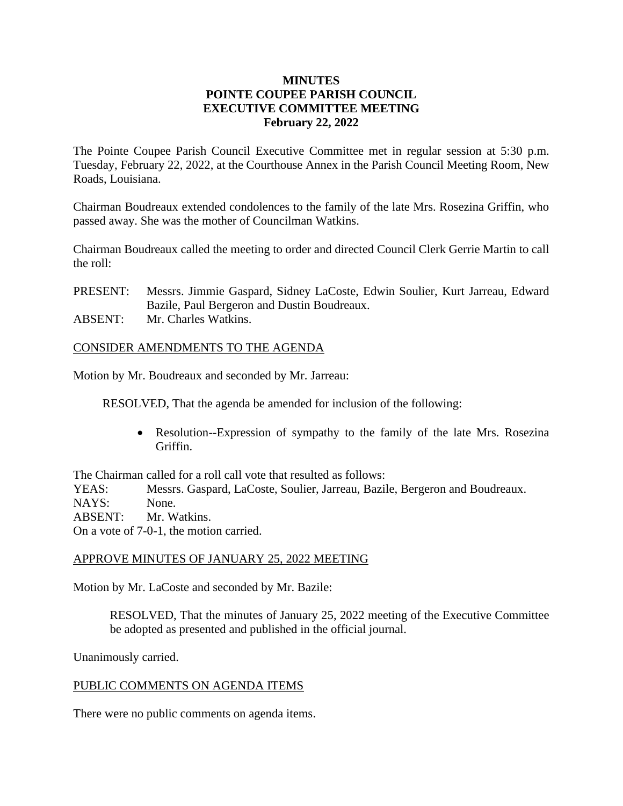## **MINUTES POINTE COUPEE PARISH COUNCIL EXECUTIVE COMMITTEE MEETING February 22, 2022**

The Pointe Coupee Parish Council Executive Committee met in regular session at 5:30 p.m. Tuesday, February 22, 2022, at the Courthouse Annex in the Parish Council Meeting Room, New Roads, Louisiana.

Chairman Boudreaux extended condolences to the family of the late Mrs. Rosezina Griffin, who passed away. She was the mother of Councilman Watkins.

Chairman Boudreaux called the meeting to order and directed Council Clerk Gerrie Martin to call the roll:

PRESENT: Messrs. Jimmie Gaspard, Sidney LaCoste, Edwin Soulier, Kurt Jarreau, Edward Bazile, Paul Bergeron and Dustin Boudreaux.

ABSENT: Mr. Charles Watkins.

## CONSIDER AMENDMENTS TO THE AGENDA

Motion by Mr. Boudreaux and seconded by Mr. Jarreau:

RESOLVED, That the agenda be amended for inclusion of the following:

• Resolution--Expression of sympathy to the family of the late Mrs. Rosezina Griffin.

The Chairman called for a roll call vote that resulted as follows:

YEAS: Messrs. Gaspard, LaCoste, Soulier, Jarreau, Bazile, Bergeron and Boudreaux. NAYS: None.

ABSENT: Mr. Watkins.

On a vote of 7-0-1, the motion carried.

## APPROVE MINUTES OF JANUARY 25, 2022 MEETING

Motion by Mr. LaCoste and seconded by Mr. Bazile:

RESOLVED, That the minutes of January 25, 2022 meeting of the Executive Committee be adopted as presented and published in the official journal.

Unanimously carried.

## PUBLIC COMMENTS ON AGENDA ITEMS

There were no public comments on agenda items.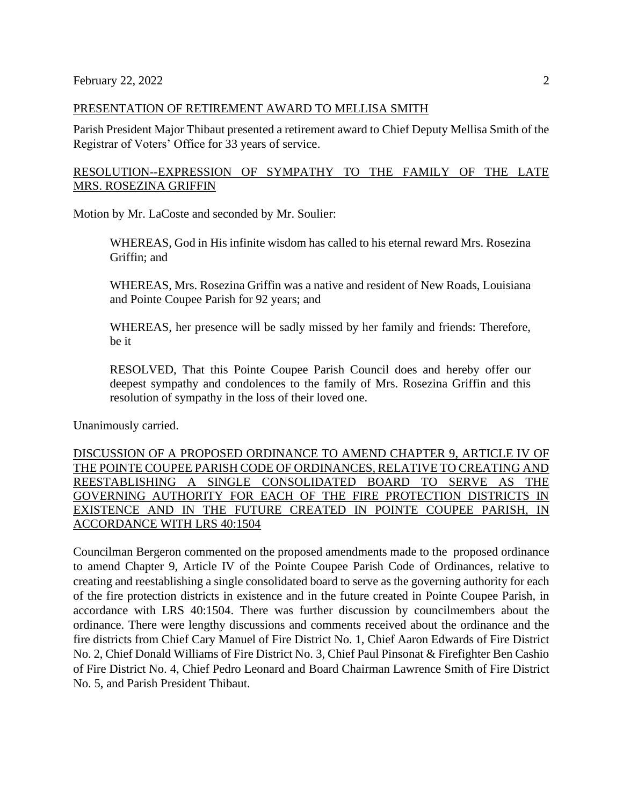#### PRESENTATION OF RETIREMENT AWARD TO MELLISA SMITH

Parish President Major Thibaut presented a retirement award to Chief Deputy Mellisa Smith of the Registrar of Voters' Office for 33 years of service.

# RESOLUTION--EXPRESSION OF SYMPATHY TO THE FAMILY OF THE LATE MRS. ROSEZINA GRIFFIN

Motion by Mr. LaCoste and seconded by Mr. Soulier:

WHEREAS, God in His infinite wisdom has called to his eternal reward Mrs. Rosezina Griffin; and

WHEREAS, Mrs. Rosezina Griffin was a native and resident of New Roads, Louisiana and Pointe Coupee Parish for 92 years; and

WHEREAS, her presence will be sadly missed by her family and friends: Therefore, be it

RESOLVED, That this Pointe Coupee Parish Council does and hereby offer our deepest sympathy and condolences to the family of Mrs. Rosezina Griffin and this resolution of sympathy in the loss of their loved one.

Unanimously carried.

DISCUSSION OF A PROPOSED ORDINANCE TO AMEND CHAPTER 9, ARTICLE IV OF THE POINTE COUPEE PARISH CODE OF ORDINANCES, RELATIVE TO CREATING AND REESTABLISHING A SINGLE CONSOLIDATED BOARD TO SERVE AS THE GOVERNING AUTHORITY FOR EACH OF THE FIRE PROTECTION DISTRICTS IN EXISTENCE AND IN THE FUTURE CREATED IN POINTE COUPEE PARISH, IN ACCORDANCE WITH LRS 40:1504

Councilman Bergeron commented on the proposed amendments made to the proposed ordinance to amend Chapter 9, Article IV of the Pointe Coupee Parish Code of Ordinances, relative to creating and reestablishing a single consolidated board to serve as the governing authority for each of the fire protection districts in existence and in the future created in Pointe Coupee Parish, in accordance with LRS 40:1504. There was further discussion by councilmembers about the ordinance. There were lengthy discussions and comments received about the ordinance and the fire districts from Chief Cary Manuel of Fire District No. 1, Chief Aaron Edwards of Fire District No. 2, Chief Donald Williams of Fire District No. 3, Chief Paul Pinsonat & Firefighter Ben Cashio of Fire District No. 4, Chief Pedro Leonard and Board Chairman Lawrence Smith of Fire District No. 5, and Parish President Thibaut.